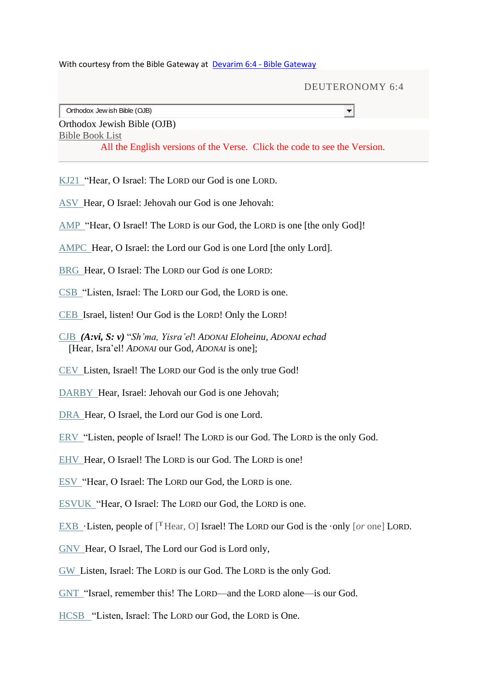With courtesy from the Bible Gateway at Devarim 6:4 - [Bible Gateway](https://www.biblegateway.com/verse/en/Devarim%206:4)

|                                                                           | DEUTERONOMY 6:4 |
|---------------------------------------------------------------------------|-----------------|
| Orthodox Jew ish Bible (OJB)                                              |                 |
| Orthodox Jewish Bible (OJB)                                               |                 |
| <b>Bible Book List</b>                                                    |                 |
| All the English versions of the Verse. Click the code to see the Version. |                 |
|                                                                           |                 |

[KJ21](https://www.biblegateway.com/passage/?search=Deuteronomy%206:3-5&version=KJ21) "Hear, O Israel: The LORD our God is one LORD.

- [ASV](https://www.biblegateway.com/passage/?search=Deuteronomy%206:3-5&version=ASV) Hear, O Israel: Jehovah our God is one Jehovah:
- [AMP](https://www.biblegateway.com/passage/?search=Deuteronomy%206:3-5&version=AMP) "Hear, O Israel! The LORD is our God, the LORD is one [the only God]!
- [AMPC](https://www.biblegateway.com/passage/?search=Deuteronomy%206:3-5&version=AMPC) Hear, O Israel: the Lord our God is one Lord [the only Lord].
- [BRG](https://www.biblegateway.com/passage/?search=Deuteronomy%206:3-5&version=BRG) Hear, O Israel: The LORD our God *is* one LORD:
- [CSB](https://www.biblegateway.com/passage/?search=Deuteronomy%206:3-5&version=CSB) "Listen, Israel: The LORD our God, the LORD is one.
- [CEB](https://www.biblegateway.com/passage/?search=Deuteronomy%206:3-5&version=CEB) Israel, listen! Our God is the LORD! Only the LORD!
- [CJB](https://www.biblegateway.com/passage/?search=Deuteronomy%206:3-5&version=CJB) *(A:vi, S: v)* "*Sh'ma, Yisra'el*! *ADONAI Eloheinu, ADONAI echad* [Hear, Isra'el! *ADONAI* our God, *ADONAI* is one];
- [CEV](https://www.biblegateway.com/passage/?search=Deuteronomy%206:3-5&version=CEV) Listen, Israel! The LORD our God is the only true God!
- [DARBY](https://www.biblegateway.com/passage/?search=Deuteronomy%206:3-5&version=DARBY) Hear, Israel: Jehovah our God is one Jehovah;
- [DRA](https://www.biblegateway.com/passage/?search=Deuteronomy%206:3-5&version=DRA) Hear, O Israel, the Lord our God is one Lord.
- [ERV](https://www.biblegateway.com/passage/?search=Deuteronomy%206:3-5&version=ERV) "Listen, people of Israel! The LORD is our God. The LORD is the only God.
- [EHV](https://www.biblegateway.com/passage/?search=Deuteronomy%206:3-5&version=EHV) Hear, O Israel! The LORD is our God. The LORD is one!
- [ESV](https://www.biblegateway.com/passage/?search=Deuteronomy%206:3-5&version=ESV) "Hear, O Israel: The LORD our God, the LORD is one.
- [ESVUK](https://www.biblegateway.com/passage/?search=Deuteronomy%206:3-5&version=ESVUK) "Hear, O Israel: The LORD our God, the LORD is one.
- [EXB](https://www.biblegateway.com/passage/?search=Deuteronomy%206:3-5&version=EXB)  $\cdot$  Listen, people of [<sup>T</sup>Hear, O] Israel! The LORD our God is the  $\cdot$ only [*or* one] LORD.
- [GNV](https://www.biblegateway.com/passage/?search=Deuteronomy%206:3-5&version=GNV) Hear, O Israel, The Lord our God is Lord only,
- [GW](https://www.biblegateway.com/passage/?search=Deuteronomy%206:3-5&version=GW) Listen, Israel: The LORD is our God. The LORD is the only God.
- [GNT](https://www.biblegateway.com/passage/?search=Deuteronomy%206:3-5&version=GNT) "Israel, remember this! The LORD—and the LORD alone—is our God.
- [HCSB](https://www.biblegateway.com/passage/?search=Deuteronomy%206:3-5&version=HCSB) "Listen, Israel: The LORD our God, the LORD is One.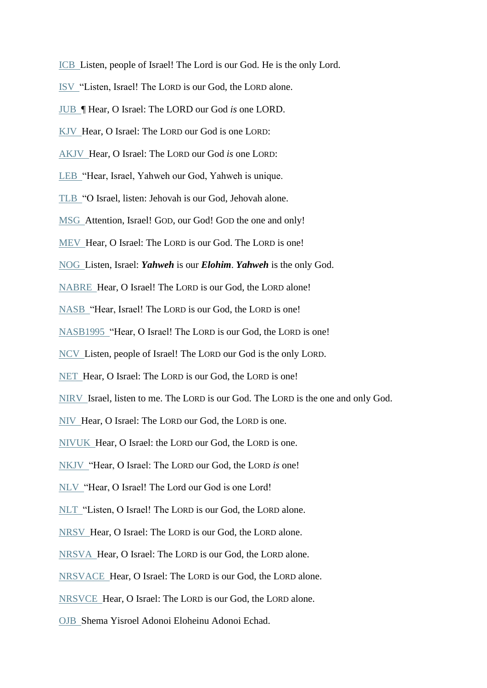- [ICB](https://www.biblegateway.com/passage/?search=Deuteronomy%206:3-5&version=ICB) Listen, people of Israel! The Lord is our God. He is the only Lord.
- [ISV](https://www.biblegateway.com/passage/?search=Deuteronomy%206:3-5&version=ISV) "Listen, Israel! The LORD is our God, the LORD alone.
- [JUB](https://www.biblegateway.com/passage/?search=Deuteronomy%206:3-5&version=JUB) ¶ Hear, O Israel: The LORD our God *is* one LORD.
- [KJV](https://www.biblegateway.com/passage/?search=Deuteronomy%206:3-5&version=KJV) Hear, O Israel: The LORD our God is one LORD:
- [AKJV](https://www.biblegateway.com/passage/?search=Deuteronomy%206:3-5&version=AKJV) Hear, O Israel: The LORD our God *is* one LORD:
- [LEB](https://www.biblegateway.com/passage/?search=Deuteronomy%206:3-5&version=LEB) "Hear, Israel, Yahweh our God, Yahweh is unique.
- [TLB](https://www.biblegateway.com/passage/?search=Deuteronomy%206:3-5&version=TLB) "O Israel, listen: Jehovah is our God, Jehovah alone.
- [MSG](https://www.biblegateway.com/passage/?search=Deuteronomy%206:3-5&version=MSG) Attention, Israel! GOD, our God! GOD the one and only!
- [MEV](https://www.biblegateway.com/passage/?search=Deuteronomy%206:3-5&version=MEV) Hear, O Israel: The LORD is our God. The LORD is one!
- [NOG](https://www.biblegateway.com/passage/?search=Deuteronomy%206:3-5&version=NOG) Listen, Israel: *Yahweh* is our *Elohim*. *Yahweh* is the only God.
- [NABRE](https://www.biblegateway.com/passage/?search=Deuteronomy%206:3-5&version=NABRE) Hear, O Israel! The LORD is our God, the LORD alone!
- [NASB](https://www.biblegateway.com/passage/?search=Deuteronomy%206:3-5&version=NASB) "Hear, Israel! The LORD is our God, the LORD is one!
- [NASB1995](https://www.biblegateway.com/passage/?search=Deuteronomy%206:3-5&version=NASB1995) "Hear, O Israel! The LORD is our God, the LORD is one!
- [NCV](https://www.biblegateway.com/passage/?search=Deuteronomy%206:3-5&version=NCV) Listen, people of Israel! The LORD our God is the only LORD.
- [NET](https://www.biblegateway.com/passage/?search=Deuteronomy%206:3-5&version=NET) Hear, O Israel: The LORD is our God, the LORD is one!
- [NIRV](https://www.biblegateway.com/passage/?search=Deuteronomy%206:3-5&version=NIRV) Israel, listen to me. The LORD is our God. The LORD is the one and only God.
- [NIV](https://www.biblegateway.com/passage/?search=Deuteronomy%206:3-5&version=NIV) Hear, O Israel: The LORD our God, the LORD is one.
- [NIVUK](https://www.biblegateway.com/passage/?search=Deuteronomy%206:3-5&version=NIVUK) Hear, O Israel: the LORD our God, the LORD is one.
- [NKJV](https://www.biblegateway.com/passage/?search=Deuteronomy%206:3-5&version=NKJV) "Hear, O Israel: The LORD our God, the LORD *is* one!
- [NLV](https://www.biblegateway.com/passage/?search=Deuteronomy%206:3-5&version=NLV) "Hear, O Israel! The Lord our God is one Lord!
- [NLT](https://www.biblegateway.com/passage/?search=Deuteronomy%206:3-5&version=NLT) "Listen, O Israel! The LORD is our God, the LORD alone.
- [NRSV](https://www.biblegateway.com/passage/?search=Deuteronomy%206:3-5&version=NRSV) Hear, O Israel: The LORD is our God, the LORD alone.
- [NRSVA](https://www.biblegateway.com/passage/?search=Deuteronomy%206:3-5&version=NRSVA) Hear, O Israel: The LORD is our God, the LORD alone.
- [NRSVACE](https://www.biblegateway.com/passage/?search=Deuteronomy%206:3-5&version=NRSVACE) Hear, O Israel: The LORD is our God, the LORD alone.
- [NRSVCE](https://www.biblegateway.com/passage/?search=Deuteronomy%206:3-5&version=NRSVCE) Hear, O Israel: The LORD is our God, the LORD alone.
- [OJB](https://www.biblegateway.com/passage/?search=Devarim%206:3-5&version=OJB) Shema Yisroel Adonoi Eloheinu Adonoi Echad.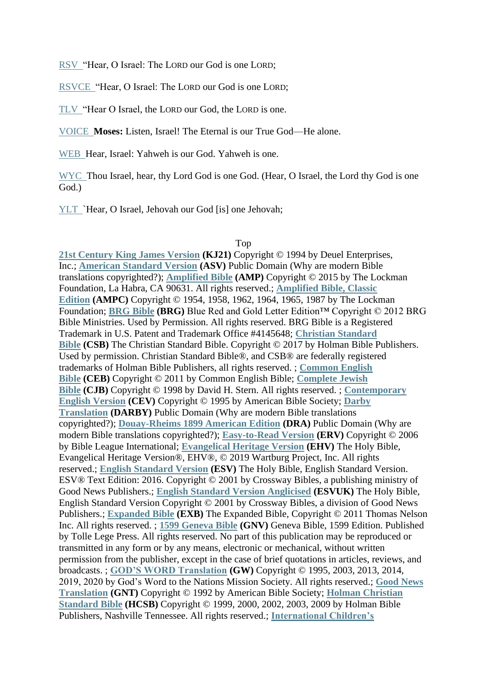[RSV](https://www.biblegateway.com/passage/?search=Deuteronomy%206:3-5&version=RSV) "Hear, O Israel: The LORD our God is one LORD;

[RSVCE](https://www.biblegateway.com/passage/?search=Deuteronomy%206:3-5&version=RSVCE) "Hear, O Israel: The LORD our God is one LORD;

[TLV](https://www.biblegateway.com/passage/?search=Deuteronomy%206:3-5&version=TLV) "Hear O Israel, the LORD our God, the LORD is one.

[VOICE](https://www.biblegateway.com/passage/?search=Deuteronomy%206:3-5&version=VOICE) **Moses:** Listen, Israel! The Eternal is our True God—He alone.

[WEB](https://www.biblegateway.com/passage/?search=Deuteronomy%206:3-5&version=WEB) Hear, Israel: Yahweh is our God. Yahweh is one.

[WYC](https://www.biblegateway.com/passage/?search=Deuteronomy%206:3-5&version=WYC) Thou Israel, hear, thy Lord God is one God. (Hear, O Israel, the Lord thy God is one God.)

[YLT](https://www.biblegateway.com/passage/?search=Deuteronomy%206:3-5&version=YLT) `Hear, O Israel, Jehovah our God [is] one Jehovah;

## Top

**[21st Century King James Version](https://www.biblegateway.com/versions/21st-Century-King-James-Version-KJ21-Bible/) (KJ21)** Copyright © 1994 by Deuel Enterprises, Inc.; **[American Standard Version](https://www.biblegateway.com/versions/American-Standard-Version-ASV-Bible/) (ASV)** Public Domain (Why are modern Bible translations copyrighted?); **[Amplified Bible](https://www.biblegateway.com/versions/Amplified-Bible-AMP/) (AMP)** Copyright © 2015 by The Lockman Foundation, La Habra, CA 90631. All rights reserved.; **[Amplified Bible, Classic](https://www.biblegateway.com/versions/Amplified-Bible-Classic-Edition-AMPC/)  [Edition](https://www.biblegateway.com/versions/Amplified-Bible-Classic-Edition-AMPC/) (AMPC)** Copyright © 1954, 1958, 1962, 1964, 1965, 1987 by The Lockman Foundation; **[BRG Bible](https://www.biblegateway.com/versions/BRG-Bible/) (BRG)** Blue Red and Gold Letter Edition™ Copyright © 2012 BRG Bible Ministries. Used by Permission. All rights reserved. BRG Bible is a Registered Trademark in U.S. Patent and Trademark Office #4145648; **[Christian Standard](https://www.biblegateway.com/versions/Christian-Standard-Bible-CSB/)  [Bible](https://www.biblegateway.com/versions/Christian-Standard-Bible-CSB/) (CSB)** The Christian Standard Bible. Copyright © 2017 by Holman Bible Publishers. Used by permission. Christian Standard Bible®, and CSB® are federally registered trademarks of Holman Bible Publishers, all rights reserved. ; **[Common English](https://www.biblegateway.com/versions/Common-English-Bible-CEB/)  [Bible](https://www.biblegateway.com/versions/Common-English-Bible-CEB/) (CEB)** Copyright © 2011 by Common English Bible; **[Complete Jewish](https://www.biblegateway.com/versions/Complete-Jewish-Bible-CJB/)  [Bible](https://www.biblegateway.com/versions/Complete-Jewish-Bible-CJB/) (CJB)** Copyright © 1998 by David H. Stern. All rights reserved. ; **[Contemporary](https://www.biblegateway.com/versions/Contemporary-English-Version-CEV-Bible/)  [English Version](https://www.biblegateway.com/versions/Contemporary-English-Version-CEV-Bible/) (CEV)** Copyright © 1995 by American Bible Society; **[Darby](https://www.biblegateway.com/versions/Darby-Translation-Bible/)  [Translation](https://www.biblegateway.com/versions/Darby-Translation-Bible/) (DARBY)** Public Domain (Why are modern Bible translations copyrighted?); **[Douay-Rheims 1899 American Edition](https://www.biblegateway.com/versions/Douay-Rheims-1899-American-Edition-DRA-Bible/) (DRA)** Public Domain (Why are modern Bible translations copyrighted?); **[Easy-to-Read Version](https://www.biblegateway.com/versions/Easy-to-Read-Version-ERV-Bible/) (ERV)** Copyright © 2006 by Bible League International; **[Evangelical Heritage Version](https://www.biblegateway.com/versions/Evangelical-Heritage-Version-EHV-Bible/) (EHV)** The Holy Bible, Evangelical Heritage Version®, EHV®, © 2019 Wartburg Project, Inc. All rights reserved.; **[English Standard Version](https://www.biblegateway.com/versions/English-Standard-Version-ESV-Bible/) (ESV)** The Holy Bible, English Standard Version. ESV® Text Edition: 2016. Copyright © 2001 by Crossway Bibles, a publishing ministry of Good News Publishers.; **[English Standard Version Anglicised](https://www.biblegateway.com/versions/English-Standard-Version-Anglicised-ESV-Bible/) (ESVUK)** The Holy Bible, English Standard Version Copyright © 2001 by Crossway Bibles, a division of Good News Publishers.; **[Expanded Bible](https://www.biblegateway.com/versions/Expanded-Bible-EXB/) (EXB)** The Expanded Bible, Copyright © 2011 Thomas Nelson Inc. All rights reserved. ; **[1599 Geneva Bible](https://www.biblegateway.com/versions/1599-Geneva-Bible-GNV/) (GNV)** Geneva Bible, 1599 Edition. Published by Tolle Lege Press. All rights reserved. No part of this publication may be reproduced or transmitted in any form or by any means, electronic or mechanical, without written permission from the publisher, except in the case of brief quotations in articles, reviews, and broadcasts. ; **[GOD'S WORD Translation](https://www.biblegateway.com/versions/GODS-WORD-Translation-GW-Bible/) (GW)** Copyright © 1995, 2003, 2013, 2014, 2019, 2020 by God's Word to the Nations Mission Society. All rights reserved.; **[Good News](https://www.biblegateway.com/versions/Good-News-Translation-GNT-Bible/)  [Translation](https://www.biblegateway.com/versions/Good-News-Translation-GNT-Bible/) (GNT)** Copyright © 1992 by American Bible Society; **[Holman Christian](https://www.biblegateway.com/versions/Holman-Christian-Standard-Bible-HCSB/)  [Standard Bible](https://www.biblegateway.com/versions/Holman-Christian-Standard-Bible-HCSB/) (HCSB)** Copyright © 1999, 2000, 2002, 2003, 2009 by Holman Bible Publishers, Nashville Tennessee. All rights reserved.; **[International Children's](https://www.biblegateway.com/versions/International-Childrens-Bible-ICB/)**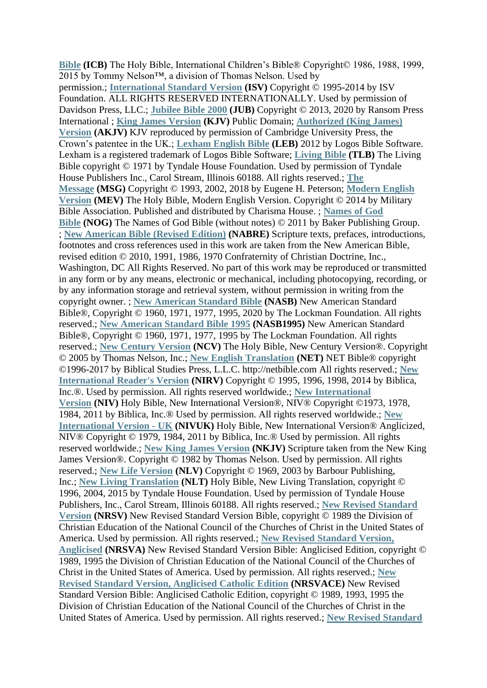**[Bible](https://www.biblegateway.com/versions/International-Childrens-Bible-ICB/) (ICB)** The Holy Bible, International Children's Bible® Copyright© 1986, 1988, 1999, 2015 by Tommy Nelson™, a division of Thomas Nelson. Used by permission.; **[International Standard Version](https://www.biblegateway.com/versions/International-Standard-Version-ISV-Bible/) (ISV)** Copyright © 1995-2014 by ISV Foundation. ALL RIGHTS RESERVED INTERNATIONALLY. Used by permission of Davidson Press, LLC.; **[Jubilee Bible 2000](https://www.biblegateway.com/versions/Jubilee-Bible-2000-JUB/) (JUB)** Copyright © 2013, 2020 by Ransom Press International ; **[King James Version](https://www.biblegateway.com/versions/King-James-Version-KJV-Bible/) (KJV)** Public Domain; **[Authorized \(King James\)](https://www.biblegateway.com/versions/Authorized-King-James-Version-AKJV-Bible/)  [Version](https://www.biblegateway.com/versions/Authorized-King-James-Version-AKJV-Bible/) (AKJV)** KJV reproduced by permission of Cambridge University Press, the Crown's patentee in the UK.; **[Lexham English Bible](https://www.biblegateway.com/versions/Lexham-English-Bible-LEB/) (LEB)** 2012 by Logos Bible Software. Lexham is a registered trademark of Logos Bible Software; **[Living Bible](https://www.biblegateway.com/versions/The-Living-Bible-TLB/) (TLB)** The Living Bible copyright © 1971 by Tyndale House Foundation. Used by permission of Tyndale House Publishers Inc., Carol Stream, Illinois 60188. All rights reserved.; **[The](https://www.biblegateway.com/versions/Message-MSG-Bible/)  [Message](https://www.biblegateway.com/versions/Message-MSG-Bible/) (MSG)** Copyright © 1993, 2002, 2018 by Eugene H. Peterson; **[Modern English](https://www.biblegateway.com/versions/Modern-English-Version-MEV-Bible/)  [Version](https://www.biblegateway.com/versions/Modern-English-Version-MEV-Bible/) (MEV)** The Holy Bible, Modern English Version. Copyright © 2014 by Military Bible Association. Published and distributed by Charisma House. ; **[Names of God](https://www.biblegateway.com/versions/Names-of-God-NOG-Bible/)  [Bible](https://www.biblegateway.com/versions/Names-of-God-NOG-Bible/) (NOG)** The Names of God Bible (without notes) © 2011 by Baker Publishing Group. ; **[New American Bible \(Revised Edition\)](https://www.biblegateway.com/versions/New-American-Bible-Revised-Edition-NABRE-Bible/) (NABRE)** Scripture texts, prefaces, introductions, footnotes and cross references used in this work are taken from the New American Bible, revised edition © 2010, 1991, 1986, 1970 Confraternity of Christian Doctrine, Inc., Washington, DC All Rights Reserved. No part of this work may be reproduced or transmitted in any form or by any means, electronic or mechanical, including photocopying, recording, or by any information storage and retrieval system, without permission in writing from the copyright owner. ; **[New American Standard Bible](https://www.biblegateway.com/versions/New-American-Standard-Bible-NASB/) (NASB)** New American Standard Bible®, Copyright © 1960, 1971, 1977, 1995, 2020 by The Lockman Foundation. All rights reserved.; **[New American Standard Bible 1995](https://www.biblegateway.com/versions/New-American-Standard-Bible-NASB1995/) (NASB1995)** New American Standard Bible®, Copyright © 1960, 1971, 1977, 1995 by The Lockman Foundation. All rights reserved.; **[New Century Version](https://www.biblegateway.com/versions/New-Century-Version-NCV-Bible/) (NCV)** The Holy Bible, New Century Version®. Copyright © 2005 by Thomas Nelson, Inc.; **[New English Translation](https://www.biblegateway.com/versions/New-English-Translation-NET-Bible/) (NET)** NET Bible® copyright ©1996-2017 by Biblical Studies Press, L.L.C. http://netbible.com All rights reserved.; **[New](https://www.biblegateway.com/versions/New-International-Readers-Version-NIRV-Bible/)  [International Reader's Version](https://www.biblegateway.com/versions/New-International-Readers-Version-NIRV-Bible/) (NIRV)** Copyright © 1995, 1996, 1998, 2014 by Biblica, Inc.®. Used by permission. All rights reserved worldwide.; **[New International](https://www.biblegateway.com/versions/New-International-Version-NIV-Bible/)  [Version](https://www.biblegateway.com/versions/New-International-Version-NIV-Bible/) (NIV)** Holy Bible, New International Version®, NIV® Copyright ©1973, 1978, 1984, 2011 by Biblica, Inc.® Used by permission. All rights reserved worldwide.; **[New](https://www.biblegateway.com/versions/New-International-Version-UK-NIVUK-Bible/)  [International Version -](https://www.biblegateway.com/versions/New-International-Version-UK-NIVUK-Bible/) UK (NIVUK)** Holy Bible, New International Version® Anglicized, NIV® Copyright © 1979, 1984, 2011 by Biblica, Inc.® Used by permission. All rights reserved worldwide.; **[New King James Version](https://www.biblegateway.com/versions/New-King-James-Version-NKJV-Bible/) (NKJV)** Scripture taken from the New King James Version®. Copyright © 1982 by Thomas Nelson. Used by permission. All rights reserved.; **[New Life Version](https://www.biblegateway.com/versions/New-Life-Version-NLV-Bible/) (NLV)** Copyright © 1969, 2003 by Barbour Publishing, Inc.; **New Living [Translation](https://www.biblegateway.com/versions/New-Living-Translation-NLT-Bible/) (NLT)** Holy Bible, New Living Translation, copyright © 1996, 2004, 2015 by Tyndale House Foundation. Used by permission of Tyndale House Publishers, Inc., Carol Stream, Illinois 60188. All rights reserved.; **[New Revised Standard](https://www.biblegateway.com/versions/New-Revised-Standard-Version-NRSV-Bible/)  [Version](https://www.biblegateway.com/versions/New-Revised-Standard-Version-NRSV-Bible/) (NRSV)** New Revised Standard Version Bible, copyright © 1989 the Division of Christian Education of the National Council of the Churches of Christ in the United States of America. Used by permission. All rights reserved.; **[New Revised Standard Version,](https://www.biblegateway.com/versions/New-Revised-Standard-Version-Anglicised-NRSVA-Bible/)  [Anglicised](https://www.biblegateway.com/versions/New-Revised-Standard-Version-Anglicised-NRSVA-Bible/) (NRSVA)** New Revised Standard Version Bible: Anglicised Edition, copyright © 1989, 1995 the Division of Christian Education of the National Council of the Churches of Christ in the United States of America. Used by permission. All rights reserved.; **[New](https://www.biblegateway.com/versions/New-Revised-Standard-Version-Anglicised-Catholic-Edition-NRSVACE-Bible/)  [Revised Standard Version, Anglicised Catholic Edition](https://www.biblegateway.com/versions/New-Revised-Standard-Version-Anglicised-Catholic-Edition-NRSVACE-Bible/) (NRSVACE)** New Revised Standard Version Bible: Anglicised Catholic Edition, copyright © 1989, 1993, 1995 the Division of Christian Education of the National Council of the Churches of Christ in the United States of America. Used by permission. All rights reserved.; **[New Revised Standard](https://www.biblegateway.com/versions/New-Revised-Standard-Version-Catholic-Edition-NRSVCE-Bible/)**